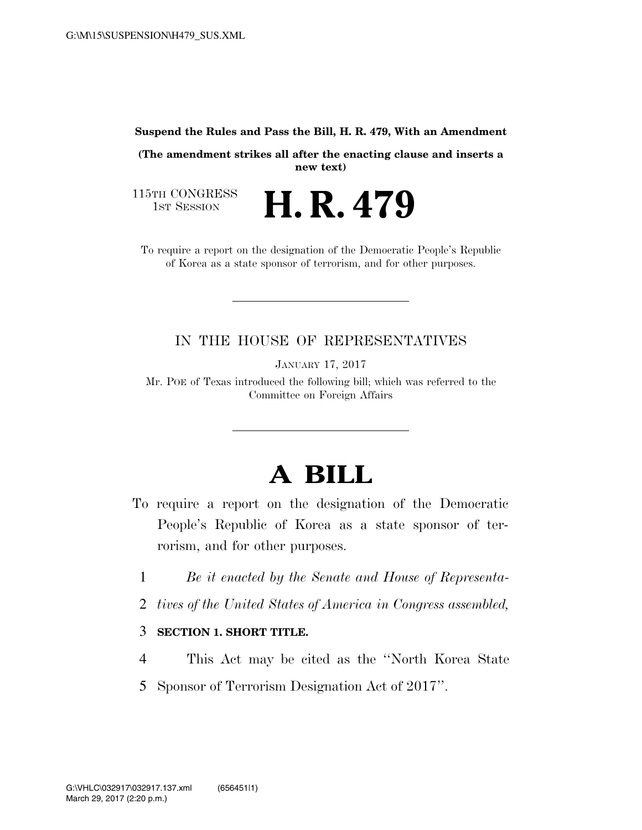#### **Suspend the Rules and Pass the Bill, H. R. 479, With an Amendment**

**(The amendment strikes all after the enacting clause and inserts a new text)** 

H. R. 479

115TH CONGRESS<br>1st Session

To require a report on the designation of the Democratic People's Republic of Korea as a state sponsor of terrorism, and for other purposes.

## IN THE HOUSE OF REPRESENTATIVES

JANUARY 17, 2017

Mr. POE of Texas introduced the following bill; which was referred to the Committee on Foreign Affairs

# **A BILL**

- To require a report on the designation of the Democratic People's Republic of Korea as a state sponsor of terrorism, and for other purposes.
	- 1 *Be it enacted by the Senate and House of Representa-*
	- 2 *tives of the United States of America in Congress assembled,*

### 3 **SECTION 1. SHORT TITLE.**

- 4 This Act may be cited as the ''North Korea State
- 5 Sponsor of Terrorism Designation Act of 2017''.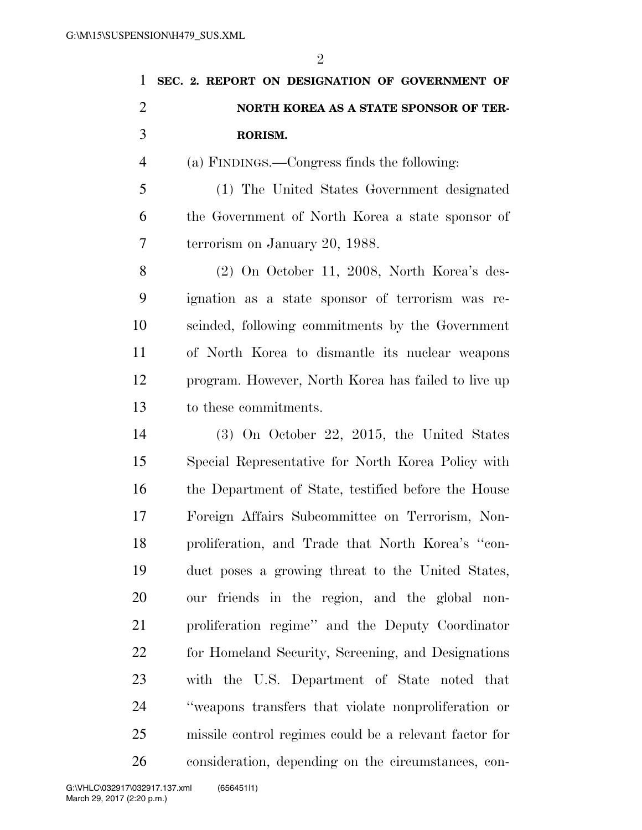|                | $\overline{2}$                                      |
|----------------|-----------------------------------------------------|
| $\mathbf{1}$   | SEC. 2. REPORT ON DESIGNATION OF GOVERNMENT OF      |
| $\overline{2}$ | NORTH KOREA AS A STATE SPONSOR OF TER-              |
| 3              | RORISM.                                             |
| $\overline{4}$ | (a) FINDINGS.—Congress finds the following:         |
| 5              | (1) The United States Government designated         |
| 6              | the Government of North Korea a state sponsor of    |
| 7              | terrorism on January 20, 1988.                      |
| 8              | (2) On October 11, 2008, North Korea's des-         |
| 9              | ignation as a state sponsor of terrorism was re-    |
| 10             | scinded, following commitments by the Government    |
| 11             | of North Korea to dismantle its nuclear weapons     |
| 12             | program. However, North Korea has failed to live up |
| 13             | to these commitments.                               |
| 14             | $(3)$ On October 22, 2015, the United States        |
| 15             | Special Representative for North Korea Policy with  |
| 16             | the Department of State, testified before the House |
| 17             | Foreign Affairs Subcommittee on Terrorism, Non-     |
| 18             | proliferation, and Trade that North Korea's "con-   |
| 19             | duct poses a growing threat to the United States,   |
| 20             | our friends in the region, and the global non-      |
| 21             | proliferation regime" and the Deputy Coordinator    |
| 22             | for Homeland Security, Screening, and Designations  |
| 23             | with the U.S. Department of State noted that        |
| 24             | "weapons transfers that violate nonproliferation or |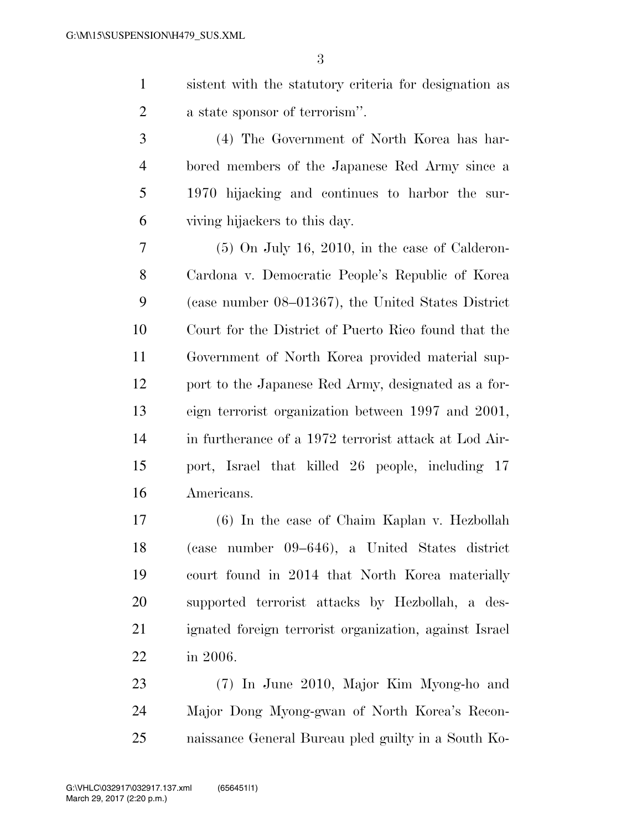sistent with the statutory criteria for designation as a state sponsor of terrorism''.

 (4) The Government of North Korea has har- bored members of the Japanese Red Army since a 1970 hijacking and continues to harbor the sur-viving hijackers to this day.

 $7 \qquad (5)$  On July 16, 2010, in the case of Calderon- Cardona v. Democratic People's Republic of Korea (case number 08–01367), the United States District Court for the District of Puerto Rico found that the Government of North Korea provided material sup- port to the Japanese Red Army, designated as a for- eign terrorist organization between 1997 and 2001, in furtherance of a 1972 terrorist attack at Lod Air- port, Israel that killed 26 people, including 17 Americans.

 (6) In the case of Chaim Kaplan v. Hezbollah (case number 09–646), a United States district court found in 2014 that North Korea materially supported terrorist attacks by Hezbollah, a des- ignated foreign terrorist organization, against Israel in 2006.

 (7) In June 2010, Major Kim Myong-ho and Major Dong Myong-gwan of North Korea's Recon-naissance General Bureau pled guilty in a South Ko-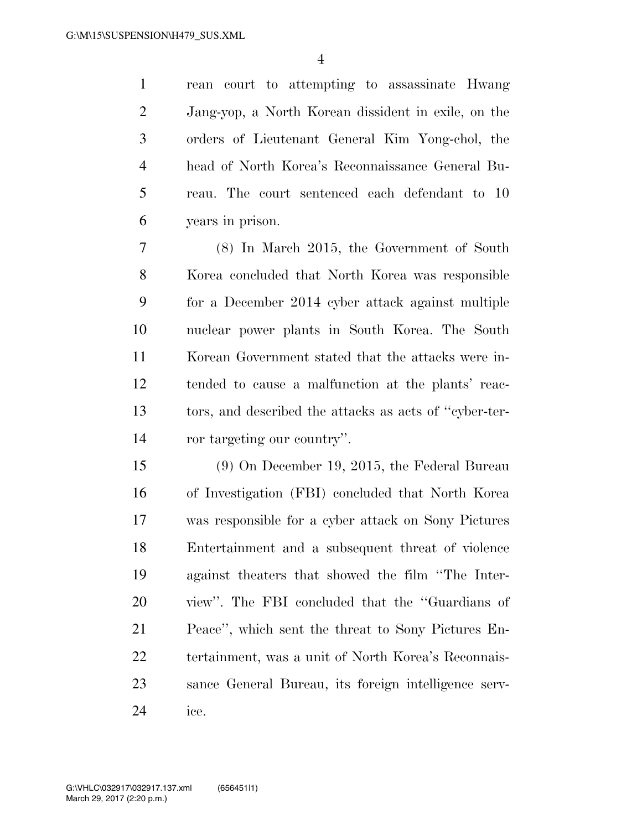rean court to attempting to assassinate Hwang Jang-yop, a North Korean dissident in exile, on the orders of Lieutenant General Kim Yong-chol, the head of North Korea's Reconnaissance General Bu- reau. The court sentenced each defendant to 10 years in prison.

 (8) In March 2015, the Government of South Korea concluded that North Korea was responsible for a December 2014 cyber attack against multiple nuclear power plants in South Korea. The South Korean Government stated that the attacks were in- tended to cause a malfunction at the plants' reac- tors, and described the attacks as acts of ''cyber-ter-ror targeting our country''.

 (9) On December 19, 2015, the Federal Bureau of Investigation (FBI) concluded that North Korea was responsible for a cyber attack on Sony Pictures Entertainment and a subsequent threat of violence against theaters that showed the film ''The Inter- view''. The FBI concluded that the ''Guardians of Peace'', which sent the threat to Sony Pictures En- tertainment, was a unit of North Korea's Reconnais- sance General Bureau, its foreign intelligence serv-ice.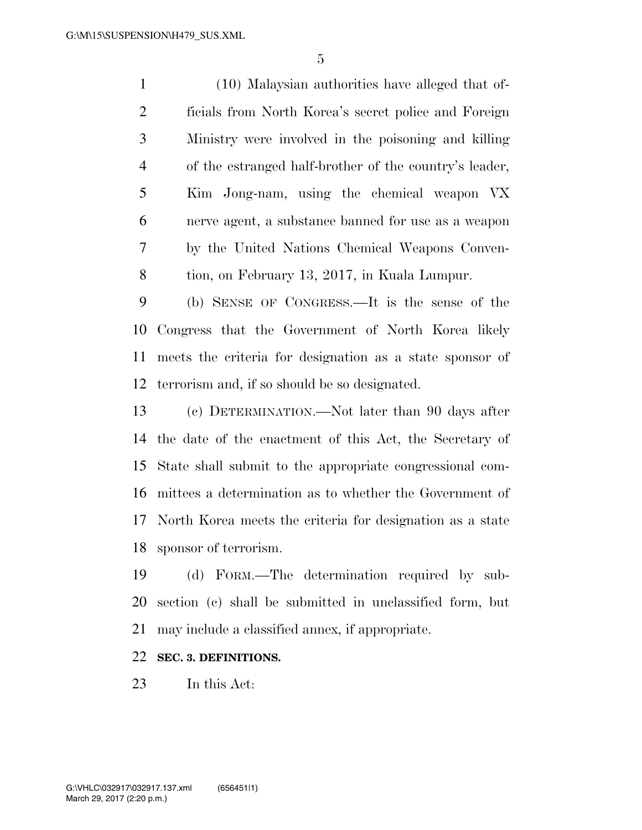(10) Malaysian authorities have alleged that of- ficials from North Korea's secret police and Foreign Ministry were involved in the poisoning and killing of the estranged half-brother of the country's leader, Kim Jong-nam, using the chemical weapon VX nerve agent, a substance banned for use as a weapon by the United Nations Chemical Weapons Conven-tion, on February 13, 2017, in Kuala Lumpur.

 (b) SENSE OF CONGRESS.—It is the sense of the Congress that the Government of North Korea likely meets the criteria for designation as a state sponsor of terrorism and, if so should be so designated.

 (c) DETERMINATION.—Not later than 90 days after the date of the enactment of this Act, the Secretary of State shall submit to the appropriate congressional com- mittees a determination as to whether the Government of North Korea meets the criteria for designation as a state sponsor of terrorism.

 (d) FORM.—The determination required by sub- section (c) shall be submitted in unclassified form, but may include a classified annex, if appropriate.

### **SEC. 3. DEFINITIONS.**

In this Act: